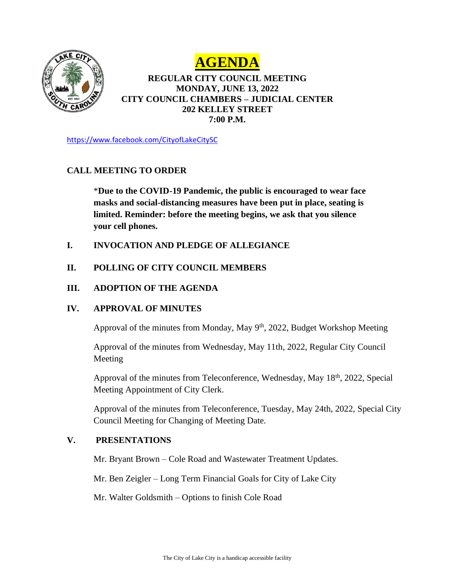



## **REGULAR CITY COUNCIL MEETING MONDAY, JUNE 13, 2022 CITY COUNCIL CHAMBERS – JUDICIAL CENTER 202 KELLEY STREET 7:00 P.M.**

<https://www.facebook.com/CityofLakeCitySC>

## **CALL MEETING TO ORDER**

\***Due to the COVID-19 Pandemic, the public is encouraged to wear face masks and social-distancing measures have been put in place, seating is limited. Reminder: before the meeting begins, we ask that you silence your cell phones.** 

- **I. INVOCATION AND PLEDGE OF ALLEGIANCE**
- **II. POLLING OF CITY COUNCIL MEMBERS**

## **III. ADOPTION OF THE AGENDA**

## **IV. APPROVAL OF MINUTES**

Approval of the minutes from Monday, May 9<sup>th</sup>, 2022, Budget Workshop Meeting

Approval of the minutes from Wednesday, May 11th, 2022, Regular City Council Meeting

Approval of the minutes from Teleconference, Wednesday, May 18th, 2022, Special Meeting Appointment of City Clerk.

Approval of the minutes from Teleconference, Tuesday, May 24th, 2022, Special City Council Meeting for Changing of Meeting Date.

## **V. PRESENTATIONS**

Mr. Bryant Brown – Cole Road and Wastewater Treatment Updates.

Mr. Ben Zeigler – Long Term Financial Goals for City of Lake City

Mr. Walter Goldsmith – Options to finish Cole Road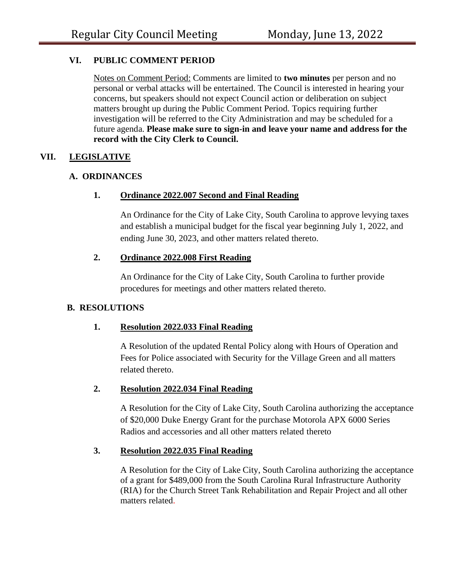## **VI. PUBLIC COMMENT PERIOD**

Notes on Comment Period: Comments are limited to **two minutes** per person and no personal or verbal attacks will be entertained. The Council is interested in hearing your concerns, but speakers should not expect Council action or deliberation on subject matters brought up during the Public Comment Period. Topics requiring further investigation will be referred to the City Administration and may be scheduled for a future agenda. **Please make sure to sign-in and leave your name and address for the record with the City Clerk to Council.** 

## **VII. LEGISLATIVE**

## **A. ORDINANCES**

## **1. Ordinance 2022.007 Second and Final Reading**

An Ordinance for the City of Lake City, South Carolina to approve levying taxes and establish a municipal budget for the fiscal year beginning July 1, 2022, and ending June 30, 2023, and other matters related thereto.

## **2. Ordinance 2022.008 First Reading**

An Ordinance for the City of Lake City, South Carolina to further provide procedures for meetings and other matters related thereto.

## **B. RESOLUTIONS**

## **1. Resolution 2022.033 Final Reading**

A Resolution of the updated Rental Policy along with Hours of Operation and Fees for Police associated with Security for the Village Green and all matters related thereto.

## **2. Resolution 2022.034 Final Reading**

A Resolution for the City of Lake City, South Carolina authorizing the acceptance of \$20,000 Duke Energy Grant for the purchase Motorola APX 6000 Series Radios and accessories and all other matters related thereto

## **3. Resolution 2022.035 Final Reading**

A Resolution for the City of Lake City, South Carolina authorizing the acceptance of a grant for \$489,000 from the South Carolina Rural Infrastructure Authority (RIA) for the Church Street Tank Rehabilitation and Repair Project and all other matters related.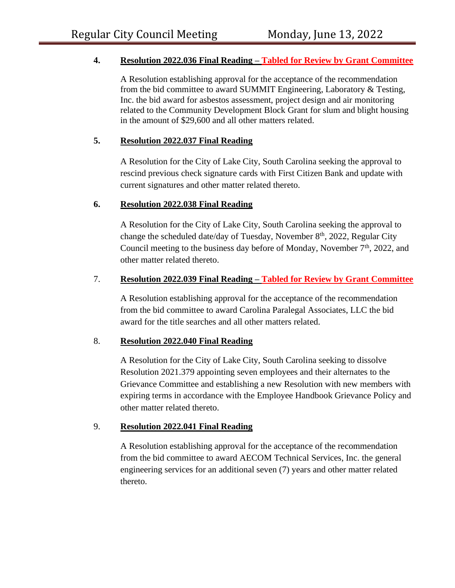## **4. Resolution 2022.036 Final Reading – Tabled for Review by Grant Committee**

A Resolution establishing approval for the acceptance of the recommendation from the bid committee to award SUMMIT Engineering, Laboratory & Testing, Inc. the bid award for asbestos assessment, project design and air monitoring related to the Community Development Block Grant for slum and blight housing in the amount of \$29,600 and all other matters related.

## **5. Resolution 2022.037 Final Reading**

A Resolution for the City of Lake City, South Carolina seeking the approval to rescind previous check signature cards with First Citizen Bank and update with current signatures and other matter related thereto.

## **6. Resolution 2022.038 Final Reading**

A Resolution for the City of Lake City, South Carolina seeking the approval to change the scheduled date/day of Tuesday, November 8<sup>th</sup>, 2022, Regular City Council meeting to the business day before of Monday, November 7<sup>th</sup>, 2022, and other matter related thereto.

## 7. **Resolution 2022.039 Final Reading – Tabled for Review by Grant Committee**

A Resolution establishing approval for the acceptance of the recommendation from the bid committee to award Carolina Paralegal Associates, LLC the bid award for the title searches and all other matters related.

## 8. **Resolution 2022.040 Final Reading**

A Resolution for the City of Lake City, South Carolina seeking to dissolve Resolution 2021.379 appointing seven employees and their alternates to the Grievance Committee and establishing a new Resolution with new members with expiring terms in accordance with the Employee Handbook Grievance Policy and other matter related thereto.

## 9. **Resolution 2022.041 Final Reading**

A Resolution establishing approval for the acceptance of the recommendation from the bid committee to award AECOM Technical Services, Inc. the general engineering services for an additional seven (7) years and other matter related thereto.